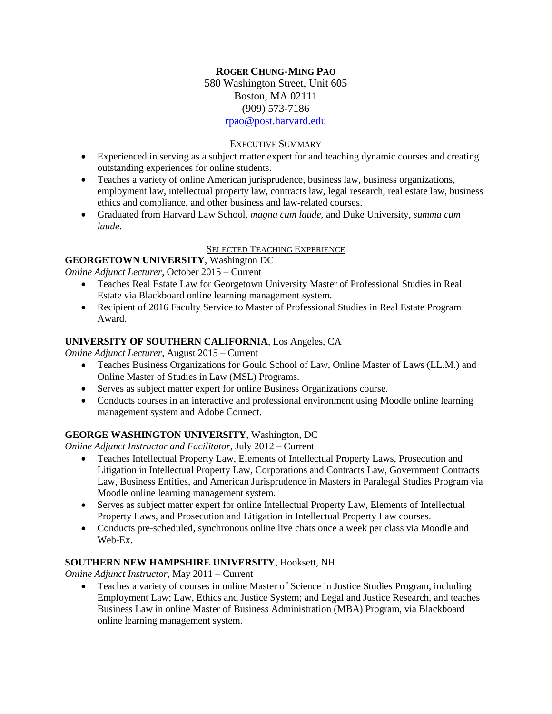## **ROGER CHUNG-MING PAO** 580 Washington Street, Unit 605 Boston, MA 02111 (909) 573-7186 [rpao@post.harvard.edu](mailto:rpao@post.harvard.edu)

### EXECUTIVE SUMMARY

- Experienced in serving as a subject matter expert for and teaching dynamic courses and creating outstanding experiences for online students.
- Teaches a variety of online American jurisprudence, business law, business organizations, employment law, intellectual property law, contracts law, legal research, real estate law, business ethics and compliance, and other business and law-related courses.
- Graduated from Harvard Law School, *magna cum laude*, and Duke University, *summa cum laude*.

#### SELECTED TEACHING EXPERIENCE

## **GEORGETOWN UNIVERSITY**, Washington DC

*Online Adjunct Lecturer*, October 2015 – Current

- Teaches Real Estate Law for Georgetown University Master of Professional Studies in Real Estate via Blackboard online learning management system.
- Recipient of 2016 Faculty Service to Master of Professional Studies in Real Estate Program Award.

### **UNIVERSITY OF SOUTHERN CALIFORNIA**, Los Angeles, CA

*Online Adjunct Lecturer*, August 2015 – Current

- Teaches Business Organizations for Gould School of Law, Online Master of Laws (LL.M.) and Online Master of Studies in Law (MSL) Programs.
- Serves as subject matter expert for online Business Organizations course.
- Conducts courses in an interactive and professional environment using Moodle online learning management system and Adobe Connect.

## **GEORGE WASHINGTON UNIVERSITY**, Washington, DC

*Online Adjunct Instructor and Facilitator*, July 2012 – Current

- Teaches Intellectual Property Law, Elements of Intellectual Property Laws, Prosecution and Litigation in Intellectual Property Law, Corporations and Contracts Law, Government Contracts Law, Business Entities, and American Jurisprudence in Masters in Paralegal Studies Program via Moodle online learning management system.
- Serves as subject matter expert for online Intellectual Property Law, Elements of Intellectual Property Laws, and Prosecution and Litigation in Intellectual Property Law courses.
- Conducts pre-scheduled, synchronous online live chats once a week per class via Moodle and Web-Ex.

## **SOUTHERN NEW HAMPSHIRE UNIVERSITY**, Hooksett, NH

*Online Adjunct Instructor*, May 2011 – Current

 Teaches a variety of courses in online Master of Science in Justice Studies Program, including Employment Law; Law, Ethics and Justice System; and Legal and Justice Research, and teaches Business Law in online Master of Business Administration (MBA) Program, via Blackboard online learning management system.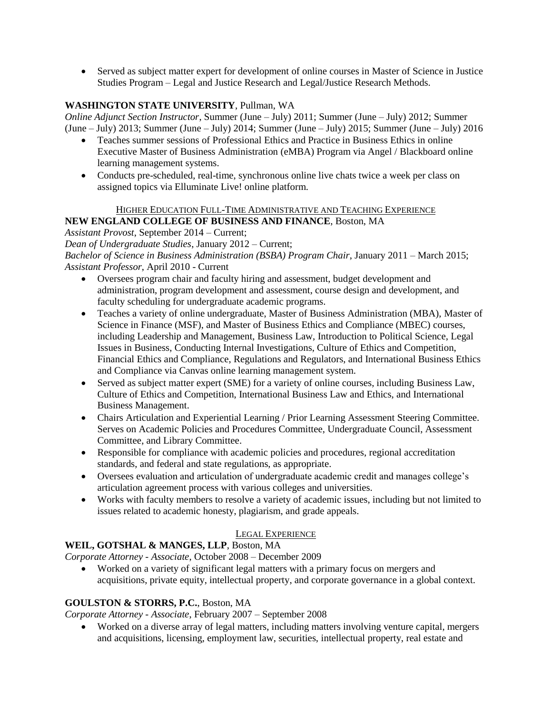Served as subject matter expert for development of online courses in Master of Science in Justice Studies Program – Legal and Justice Research and Legal/Justice Research Methods.

## **WASHINGTON STATE UNIVERSITY**, Pullman, WA

*Online Adjunct Section Instructor*, Summer (June – July) 2011; Summer (June – July) 2012; Summer (June – July) 2013; Summer (June – July) 2014; Summer (June – July) 2015; Summer (June – July) 2016

- Teaches summer sessions of Professional Ethics and Practice in Business Ethics in online Executive Master of Business Administration (eMBA) Program via Angel / Blackboard online learning management systems.
- Conducts pre-scheduled, real-time, synchronous online live chats twice a week per class on assigned topics via Elluminate Live! online platform.

## HIGHER EDUCATION FULL-TIME ADMINISTRATIVE AND TEACHING EXPERIENCE

**NEW ENGLAND COLLEGE OF BUSINESS AND FINANCE**, Boston, MA

*Assistant Provost*, September 2014 – Current;

*Dean of Undergraduate Studies*, January 2012 – Current;

*Bachelor of Science in Business Administration (BSBA) Program Chair*, January 2011 – March 2015; *Assistant Professor*, April 2010 - Current

- Oversees program chair and faculty hiring and assessment, budget development and administration, program development and assessment, course design and development, and faculty scheduling for undergraduate academic programs.
- Teaches a variety of online undergraduate, Master of Business Administration (MBA), Master of Science in Finance (MSF), and Master of Business Ethics and Compliance (MBEC) courses, including Leadership and Management, Business Law, Introduction to Political Science, Legal Issues in Business, Conducting Internal Investigations, Culture of Ethics and Competition, Financial Ethics and Compliance, Regulations and Regulators, and International Business Ethics and Compliance via Canvas online learning management system.
- Served as subject matter expert (SME) for a variety of online courses, including Business Law, Culture of Ethics and Competition, International Business Law and Ethics, and International Business Management.
- Chairs Articulation and Experiential Learning / Prior Learning Assessment Steering Committee. Serves on Academic Policies and Procedures Committee, Undergraduate Council, Assessment Committee, and Library Committee.
- Responsible for compliance with academic policies and procedures, regional accreditation standards, and federal and state regulations, as appropriate.
- Oversees evaluation and articulation of undergraduate academic credit and manages college's articulation agreement process with various colleges and universities.
- Works with faculty members to resolve a variety of academic issues, including but not limited to issues related to academic honesty, plagiarism, and grade appeals.

## LEGAL EXPERIENCE

# **WEIL, GOTSHAL & MANGES, LLP**, Boston, MA

*Corporate Attorney - Associate*, October 2008 – December 2009

 Worked on a variety of significant legal matters with a primary focus on mergers and acquisitions, private equity, intellectual property, and corporate governance in a global context.

# **GOULSTON & STORRS, P.C.**, Boston, MA

*Corporate Attorney - Associate*, February 2007 – September 2008

 Worked on a diverse array of legal matters, including matters involving venture capital, mergers and acquisitions, licensing, employment law, securities, intellectual property, real estate and